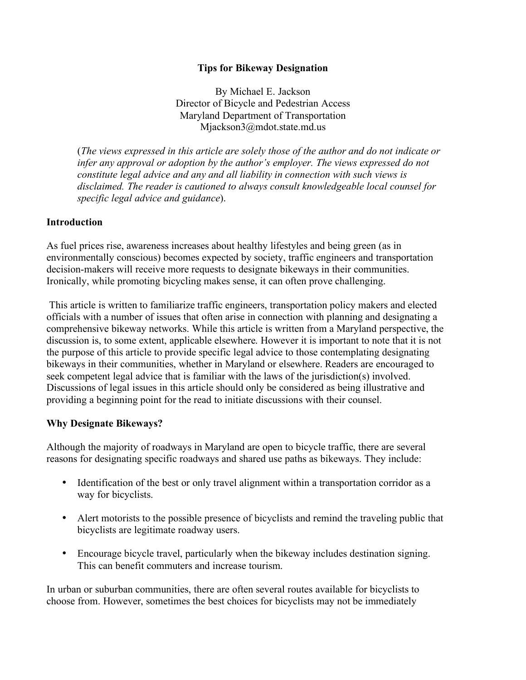#### **Tips for Bikeway Designation**

By Michael E. Jackson Director of Bicycle and Pedestrian Access Maryland Department of Transportation Mjackson3@mdot.state.md.us

(*The views expressed in this article are solely those of the author and do not indicate or*  infer any approval or adoption by the author's employer. The views expressed do not *constitute legal advice and any and all liability in connection with such views is disclaimed. The reader is cautioned to always consult knowledgeable local counsel for specific legal advice and guidance*).

#### **Introduction**

As fuel prices rise, awareness increases about healthy lifestyles and being green (as in environmentally conscious) becomes expected by society, traffic engineers and transportation decision-makers will receive more requests to designate bikeways in their communities. Ironically, while promoting bicycling makes sense, it can often prove challenging.

 This article is written to familiarize traffic engineers, transportation policy makers and elected officials with a number of issues that often arise in connection with planning and designating a comprehensive bikeway networks. While this article is written from a Maryland perspective, the discussion is, to some extent, applicable elsewhere. However it is important to note that it is not the purpose of this article to provide specific legal advice to those contemplating designating bikeways in their communities, whether in Maryland or elsewhere. Readers are encouraged to seek competent legal advice that is familiar with the laws of the jurisdiction(s) involved. Discussions of legal issues in this article should only be considered as being illustrative and providing a beginning point for the read to initiate discussions with their counsel.

#### **Why Designate Bikeways?**

Although the majority of roadways in Maryland are open to bicycle traffic, there are several reasons for designating specific roadways and shared use paths as bikeways. They include:

- Identification of the best or only travel alignment within a transportation corridor as a way for bicyclists.
- Alert motorists to the possible presence of bicyclists and remind the traveling public that bicyclists are legitimate roadway users.
- Encourage bicycle travel, particularly when the bikeway includes destination signing. This can benefit commuters and increase tourism.

In urban or suburban communities, there are often several routes available for bicyclists to choose from. However, sometimes the best choices for bicyclists may not be immediately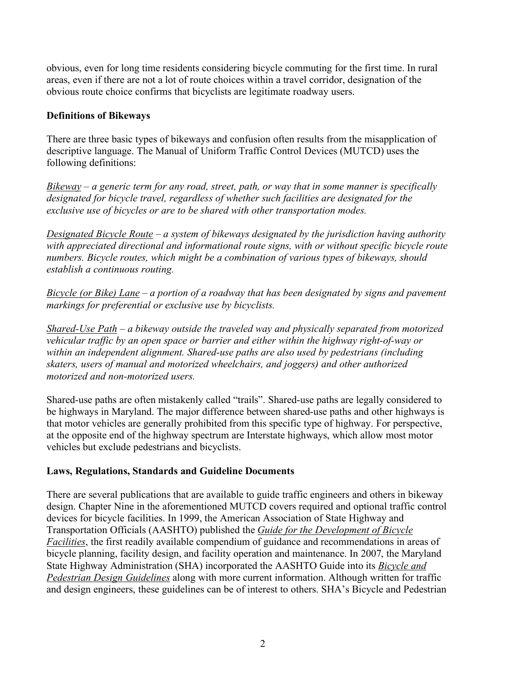obvious, even for long time residents considering bicycle commuting for the first time. In rural areas, even if there are not a lot of route choices within a travel corridor, designation of the obvious route choice confirms that bicyclists are legitimate roadway users.

# **Definitions of Bikeways**

There are three basic types of bikeways and confusion often results from the misapplication of descriptive language. The Manual of Uniform Traffic Control Devices (MUTCD) uses the following definitions:

*Bikeway – a generic term for any road, street, path, or way that in some manner is specifically designated for bicycle travel, regardless of whether such facilities are designated for the exclusive use of bicycles or are to be shared with other transportation modes.* 

*Designated Bicycle Route – a system of bikeways designated by the jurisdiction having authority with appreciated directional and informational route signs, with or without specific bicycle route numbers. Bicycle routes, which might be a combination of various types of bikeways, should establish a continuous routing.* 

*Bicycle (or Bike) Lane – a portion of a roadway that has been designated by signs and pavement markings for preferential or exclusive use by bicyclists.* 

*Shared-Use Path – a bikeway outside the traveled way and physically separated from motorized vehicular traffic by an open space or barrier and either within the highway right-of-way or within an independent alignment. Shared-use paths are also used by pedestrians (including skaters, users of manual and motorized wheelchairs, and joggers) and other authorized motorized and non-motorized users.* 

Shared-use paths are often mistakenly called "trails". Shared-use paths are legally considered to be highways in Maryland. The major difference between shared-use paths and other highways is that motor vehicles are generally prohibited from this specific type of highway. For perspective, at the opposite end of the highway spectrum are Interstate highways, which allow most motor vehicles but exclude pedestrians and bicyclists.

# **Laws, Regulations, Standards and Guideline Documents**

There are several publications that are available to guide traffic engineers and others in bikeway design. Chapter Nine in the aforementioned MUTCD covers required and optional traffic control devices for bicycle facilities. In 1999, the American Association of State Highway and Transportation Officials (AASHTO) published the *Guide for the Development of Bicycle Facilities*, the first readily available compendium of guidance and recommendations in areas of bicycle planning, facility design, and facility operation and maintenance. In 2007, the Maryland State Highway Administration (SHA) incorporated the AASHTO Guide into its *Bicycle and Pedestrian Design Guidelines* along with more current information. Although written for traffic and design engineers, these guidelines can be of interest to others. SHA's Bicycle and Pedestrian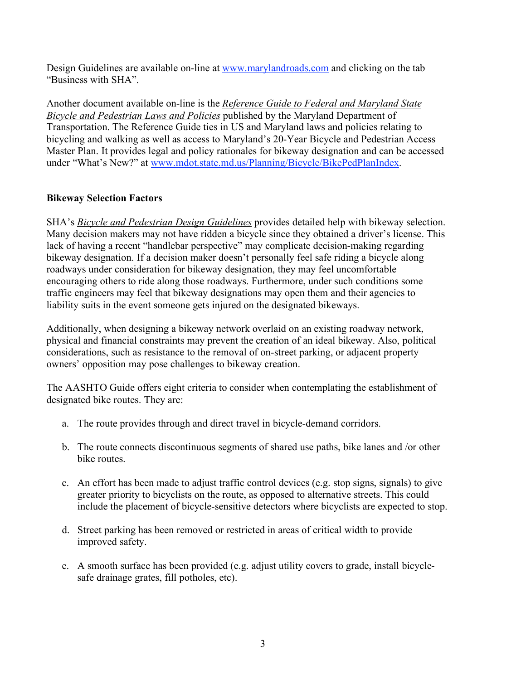Design Guidelines are available on-line at www.marylandroads.com and clicking on the tab "Business with SHA".

Another document available on-line is the *Reference Guide to Federal and Maryland State Bicycle and Pedestrian Laws and Policies* published by the Maryland Department of Transportation. The Reference Guide ties in US and Maryland laws and policies relating to bicycling and walking as well as access to Maryland's 20-Year Bicycle and Pedestrian Access Master Plan. It provides legal and policy rationales for bikeway designation and can be accessed under "What's New?" at www.mdot.state.md.us/Planning/Bicycle/BikePedPlanIndex.

# **Bikeway Selection Factors**

SHA's *Bicycle and Pedestrian Design Guidelines* provides detailed help with bikeway selection. Many decision makers may not have ridden a bicycle since they obtained a driver's license. This lack of having a recent "handlebar perspective" may complicate decision-making regarding bikeway designation. If a decision maker doesn't personally feel safe riding a bicycle along roadways under consideration for bikeway designation, they may feel uncomfortable encouraging others to ride along those roadways. Furthermore, under such conditions some traffic engineers may feel that bikeway designations may open them and their agencies to liability suits in the event someone gets injured on the designated bikeways.

Additionally, when designing a bikeway network overlaid on an existing roadway network, physical and financial constraints may prevent the creation of an ideal bikeway. Also, political considerations, such as resistance to the removal of on-street parking, or adjacent property owners' opposition may pose challenges to bikeway creation.

The AASHTO Guide offers eight criteria to consider when contemplating the establishment of designated bike routes. They are:

- a. The route provides through and direct travel in bicycle-demand corridors.
- b. The route connects discontinuous segments of shared use paths, bike lanes and /or other bike routes.
- c. An effort has been made to adjust traffic control devices (e.g. stop signs, signals) to give greater priority to bicyclists on the route, as opposed to alternative streets. This could include the placement of bicycle-sensitive detectors where bicyclists are expected to stop.
- d. Street parking has been removed or restricted in areas of critical width to provide improved safety.
- e. A smooth surface has been provided (e.g. adjust utility covers to grade, install bicyclesafe drainage grates, fill potholes, etc).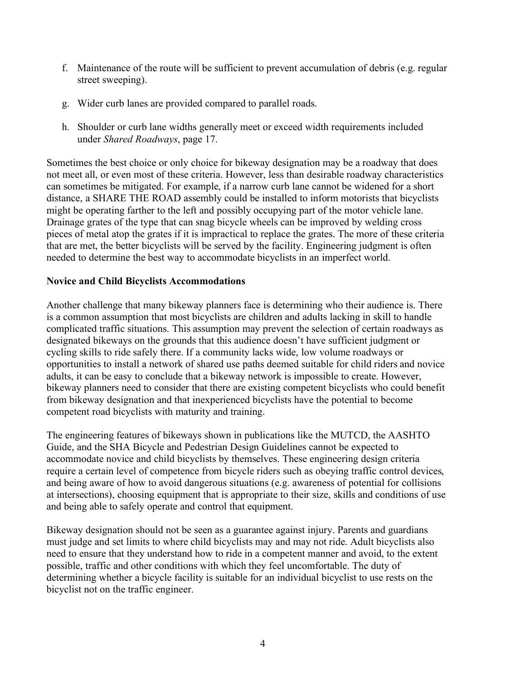- f. Maintenance of the route will be sufficient to prevent accumulation of debris (e.g. regular street sweeping).
- g. Wider curb lanes are provided compared to parallel roads.
- h. Shoulder or curb lane widths generally meet or exceed width requirements included under *Shared Roadways*, page 17.

Sometimes the best choice or only choice for bikeway designation may be a roadway that does not meet all, or even most of these criteria. However, less than desirable roadway characteristics can sometimes be mitigated. For example, if a narrow curb lane cannot be widened for a short distance, a SHARE THE ROAD assembly could be installed to inform motorists that bicyclists might be operating farther to the left and possibly occupying part of the motor vehicle lane. Drainage grates of the type that can snag bicycle wheels can be improved by welding cross pieces of metal atop the grates if it is impractical to replace the grates. The more of these criteria that are met, the better bicyclists will be served by the facility. Engineering judgment is often needed to determine the best way to accommodate bicyclists in an imperfect world.

#### **Novice and Child Bicyclists Accommodations**

Another challenge that many bikeway planners face is determining who their audience is. There is a common assumption that most bicyclists are children and adults lacking in skill to handle complicated traffic situations. This assumption may prevent the selection of certain roadways as designated bikeways on the grounds that this audience doesn't have sufficient judgment or cycling skills to ride safely there. If a community lacks wide, low volume roadways or opportunities to install a network of shared use paths deemed suitable for child riders and novice adults, it can be easy to conclude that a bikeway network is impossible to create. However, bikeway planners need to consider that there are existing competent bicyclists who could benefit from bikeway designation and that inexperienced bicyclists have the potential to become competent road bicyclists with maturity and training.

The engineering features of bikeways shown in publications like the MUTCD, the AASHTO Guide, and the SHA Bicycle and Pedestrian Design Guidelines cannot be expected to accommodate novice and child bicyclists by themselves. These engineering design criteria require a certain level of competence from bicycle riders such as obeying traffic control devices, and being aware of how to avoid dangerous situations (e.g. awareness of potential for collisions at intersections), choosing equipment that is appropriate to their size, skills and conditions of use and being able to safely operate and control that equipment.

Bikeway designation should not be seen as a guarantee against injury. Parents and guardians must judge and set limits to where child bicyclists may and may not ride. Adult bicyclists also need to ensure that they understand how to ride in a competent manner and avoid, to the extent possible, traffic and other conditions with which they feel uncomfortable. The duty of determining whether a bicycle facility is suitable for an individual bicyclist to use rests on the bicyclist not on the traffic engineer.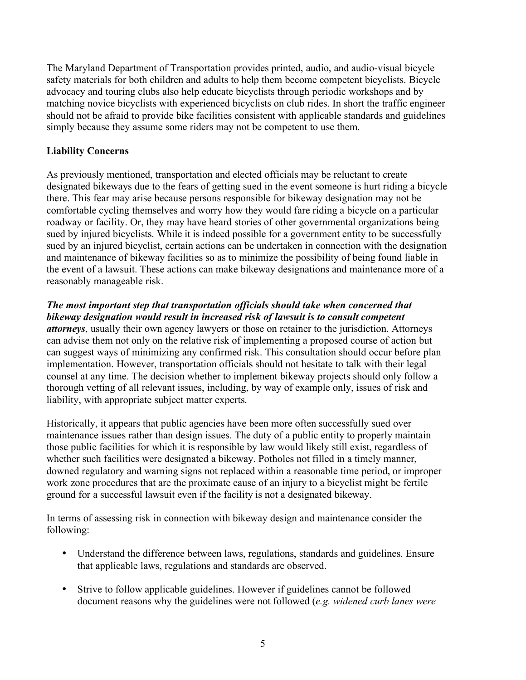The Maryland Department of Transportation provides printed, audio, and audio-visual bicycle safety materials for both children and adults to help them become competent bicyclists. Bicycle advocacy and touring clubs also help educate bicyclists through periodic workshops and by matching novice bicyclists with experienced bicyclists on club rides. In short the traffic engineer should not be afraid to provide bike facilities consistent with applicable standards and guidelines simply because they assume some riders may not be competent to use them.

# **Liability Concerns**

As previously mentioned, transportation and elected officials may be reluctant to create designated bikeways due to the fears of getting sued in the event someone is hurt riding a bicycle there. This fear may arise because persons responsible for bikeway designation may not be comfortable cycling themselves and worry how they would fare riding a bicycle on a particular roadway or facility. Or, they may have heard stories of other governmental organizations being sued by injured bicyclists. While it is indeed possible for a government entity to be successfully sued by an injured bicyclist, certain actions can be undertaken in connection with the designation and maintenance of bikeway facilities so as to minimize the possibility of being found liable in the event of a lawsuit. These actions can make bikeway designations and maintenance more of a reasonably manageable risk.

### *The most important step that transportation officials should take when concerned that bikeway designation would result in increased risk of lawsuit is to consult competent*

*attorneys*, usually their own agency lawyers or those on retainer to the jurisdiction. Attorneys can advise them not only on the relative risk of implementing a proposed course of action but can suggest ways of minimizing any confirmed risk. This consultation should occur before plan implementation. However, transportation officials should not hesitate to talk with their legal counsel at any time. The decision whether to implement bikeway projects should only follow a thorough vetting of all relevant issues, including, by way of example only, issues of risk and liability, with appropriate subject matter experts.

Historically, it appears that public agencies have been more often successfully sued over maintenance issues rather than design issues. The duty of a public entity to properly maintain those public facilities for which it is responsible by law would likely still exist, regardless of whether such facilities were designated a bikeway. Potholes not filled in a timely manner, downed regulatory and warning signs not replaced within a reasonable time period, or improper work zone procedures that are the proximate cause of an injury to a bicyclist might be fertile ground for a successful lawsuit even if the facility is not a designated bikeway.

In terms of assessing risk in connection with bikeway design and maintenance consider the following:

- Understand the difference between laws, regulations, standards and guidelines. Ensure that applicable laws, regulations and standards are observed.
- Strive to follow applicable guidelines. However if guidelines cannot be followed document reasons why the guidelines were not followed (*e.g. widened curb lanes were*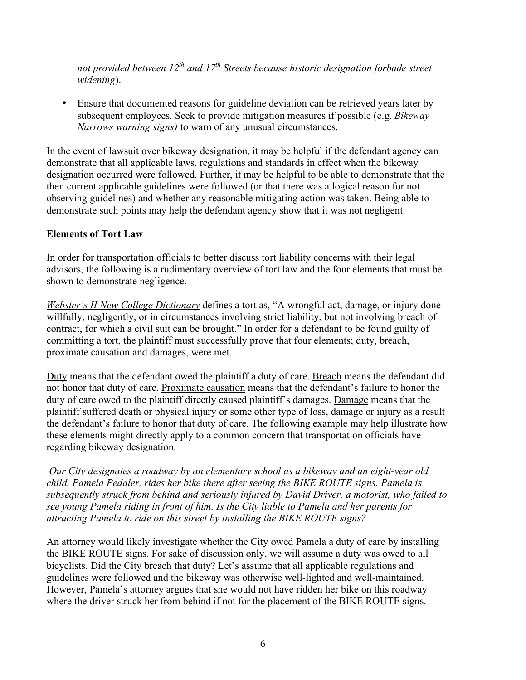*not provided between 12<sup>th</sup> and 17<sup>th</sup> Streets because historic designation forbade street widening*).

• Ensure that documented reasons for guideline deviation can be retrieved years later by subsequent employees. Seek to provide mitigation measures if possible (e.g. *Bikeway Narrows warning signs)* to warn of any unusual circumstances.

In the event of lawsuit over bikeway designation, it may be helpful if the defendant agency can demonstrate that all applicable laws, regulations and standards in effect when the bikeway designation occurred were followed. Further, it may be helpful to be able to demonstrate that the then current applicable guidelines were followed (or that there was a logical reason for not observing guidelines) and whether any reasonable mitigating action was taken. Being able to demonstrate such points may help the defendant agency show that it was not negligent.

# **Elements of Tort Law**

In order for transportation officials to better discuss tort liability concerns with their legal advisors, the following is a rudimentary overview of tort law and the four elements that must be shown to demonstrate negligence.

*Webster's II New College Dictionary* defines a tort as, "A wrongful act, damage, or injury done willfully, negligently, or in circumstances involving strict liability, but not involving breach of contract, for which a civil suit can be brought." In order for a defendant to be found guilty of committing a tort, the plaintiff must successfully prove that four elements; duty, breach, proximate causation and damages, were met.

Duty means that the defendant owed the plaintiff a duty of care. Breach means the defendant did not honor that duty of care. Proximate causation means that the defendant's failure to honor the duty of care owed to the plaintiff directly caused plaintiff's damages. Damage means that the plaintiff suffered death or physical injury or some other type of loss, damage or injury as a result the defendant's failure to honor that duty of care. The following example may help illustrate how these elements might directly apply to a common concern that transportation officials have regarding bikeway designation.

*Our City designates a roadway by an elementary school as a bikeway and an eight-year old child, Pamela Pedaler, rides her bike there after seeing the BIKE ROUTE signs. Pamela is subsequently struck from behind and seriously injured by David Driver, a motorist, who failed to see young Pamela riding in front of him. Is the City liable to Pamela and her parents for attracting Pamela to ride on this street by installing the BIKE ROUTE signs?*

An attorney would likely investigate whether the City owed Pamela a duty of care by installing the BIKE ROUTE signs. For sake of discussion only, we will assume a duty was owed to all bicyclists. Did the City breach that duty? Let's assume that all applicable regulations and guidelines were followed and the bikeway was otherwise well-lighted and well-maintained. However, Pamela's attorney argues that she would not have ridden her bike on this roadway where the driver struck her from behind if not for the placement of the BIKE ROUTE signs.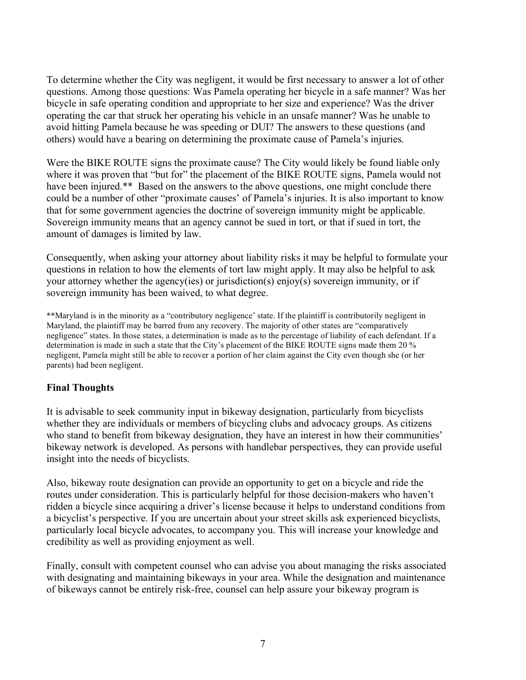To determine whether the City was negligent, it would be first necessary to answer a lot of other questions. Among those questions: Was Pamela operating her bicycle in a safe manner? Was her bicycle in safe operating condition and appropriate to her size and experience? Was the driver operating the car that struck her operating his vehicle in an unsafe manner? Was he unable to avoid hitting Pamela because he was speeding or DUI? The answers to these questions (and others) would have a bearing on determining the proximate cause of Pamela's injuries.

Were the BIKE ROUTE signs the proximate cause? The City would likely be found liable only where it was proven that "but for" the placement of the BIKE ROUTE signs, Pamela would not have been injured.\*\* Based on the answers to the above questions, one might conclude there could be a number of other "proximate causes' of Pamela's injuries. It is also important to know that for some government agencies the doctrine of sovereign immunity might be applicable. Sovereign immunity means that an agency cannot be sued in tort, or that if sued in tort, the amount of damages is limited by law.

Consequently, when asking your attorney about liability risks it may be helpful to formulate your questions in relation to how the elements of tort law might apply. It may also be helpful to ask your attorney whether the agency(ies) or jurisdiction(s) enjoy(s) sovereign immunity, or if sovereign immunity has been waived, to what degree.

**\*\***Maryland is in the minority as a "contributory negligence' state. If the plaintiff is contributorily negligent in Maryland, the plaintiff may be barred from any recovery. The majority of other states are "comparatively negligence" states. In those states, a determination is made as to the percentage of liability of each defendant. If a determination is made in such a state that the City's placement of the BIKE ROUTE signs made them 20 % negligent, Pamela might still be able to recover a portion of her claim against the City even though she (or her parents) had been negligent.

### **Final Thoughts**

It is advisable to seek community input in bikeway designation, particularly from bicyclists whether they are individuals or members of bicycling clubs and advocacy groups. As citizens who stand to benefit from bikeway designation, they have an interest in how their communities' bikeway network is developed. As persons with handlebar perspectives, they can provide useful insight into the needs of bicyclists.

Also, bikeway route designation can provide an opportunity to get on a bicycle and ride the routes under consideration. This is particularly helpful for those decision-makers who haven't ridden a bicycle since acquiring a driver's license because it helps to understand conditions from a bicyclist's perspective. If you are uncertain about your street skills ask experienced bicyclists, particularly local bicycle advocates, to accompany you. This will increase your knowledge and credibility as well as providing enjoyment as well.

Finally, consult with competent counsel who can advise you about managing the risks associated with designating and maintaining bikeways in your area. While the designation and maintenance of bikeways cannot be entirely risk-free, counsel can help assure your bikeway program is